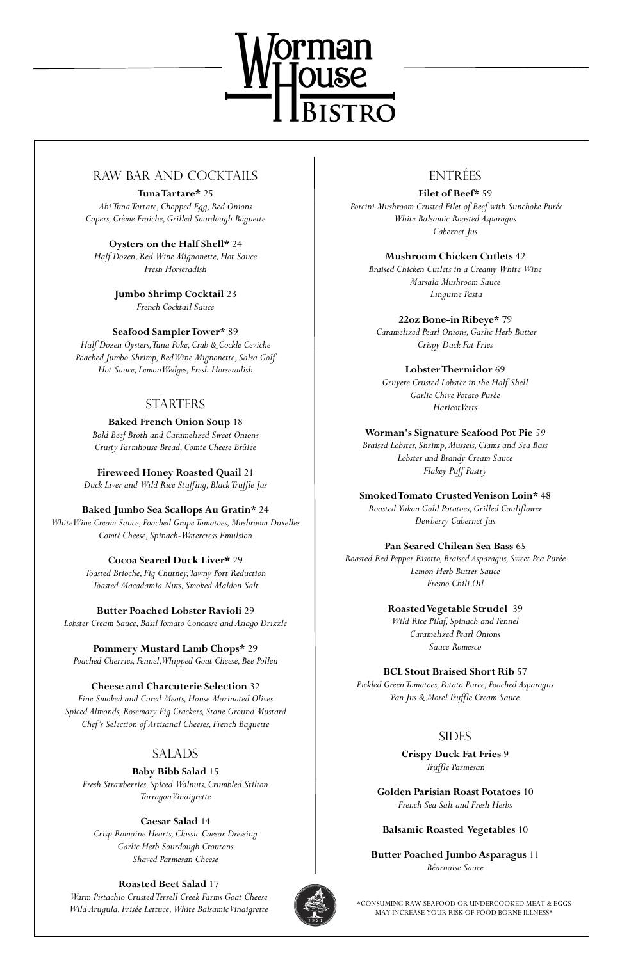

# RAW BAR AND COCKTAILS

**Tuna Tartare\*** 25 *Ahi Tuna Tartare, Chopped Egg, Red Onions Capers, Crème Fraiche, Grilled Sourdough Baguette*

**Oysters on the Half Shell\*** 24 *Half Dozen, Red Wine Mignonette, Hot Sauce Fresh Horseradish*

> **Jumbo Shrimp Cocktail** 23 *French Cocktail Sauce*

**Seafood Sampler Tower\*** 89

*Half Dozen Oysters, Tuna Poke, Crab & Cockle Ceviche Poached Jumbo Shrimp, Red Wine Mignonette, Salsa Golf Hot Sauce, Lemon Wedges, Fresh Horseradish* 

# **STARTERS**

**Baked French Onion Soup** 18 *Bold Beef Broth and Caramelized Sweet Onions Crusty Farmhouse Bread, Comte Cheese Brûlée*

**Fireweed Honey Roasted Quail** 21 *Duck Liver and Wild Rice Stuffing, Black Truffle Jus*

**Baked Jumbo Sea Scallops Au Gratin\*** 24 *White Wine Cream Sauce, Poached Grape Tomatoes, Mushroom Duxelles Comté Cheese, Spinach-Watercress Emulsion*

> **Cocoa Seared Duck Liver\*** 29 *Toasted Brioche, Fig Chutney, Tawny Port Reduction Toasted Macadamia Nuts, Smoked Maldon Salt*

**Butter Poached Lobster Ravioli** 29 *Lobster Cream Sauce, Basil Tomato Concasse and Asiago Drizzle*

**Pommery Mustard Lamb Chops\*** 29 *Poached Cherries, Fennel, Whipped Goat Cheese, Bee Pollen*

**Cheese and Charcuterie Selection** 32 *Fine Smoked and Cured Meats, House Marinated Olives*

*Spiced Almonds, Rosemary Fig Crackers, Stone Ground Mustard Chef's Selection of Artisanal Cheeses, French Baguette*

## SALADS

### **Baby Bibb Salad** 15 *Fresh Strawberries, Spiced Walnuts, Crumbled Stilton Tarragon Vinaigrette*

### **Caesar Salad** 14

*Crisp Romaine Hearts, Classic Caesar Dressing Garlic Herb Sourdough Croutons Shaved Parmesan Cheese*

### **Roasted Beet Salad** 17

*Warm Pistachio Crusted Terrell Creek Farms Goat Cheese Wild Arugula, Frisée Lettuce, White Balsamic Vinaigrette* 



# ENTRÉES

**Filet of Beef\*** 59 *Porcini Mushroom Crusted Filet of Beef with Sunchoke Purée White Balsamic Roasted Asparagus Cabernet Jus*

**Mushroom Chicken Cutlets** 42 *Braised Chicken Cutlets in a Creamy White Wine Marsala Mushroom Sauce Linguine Pasta*

**22oz Bone-in Ribeye\*** 79 *Caramelized Pearl Onions, Garlic Herb Butter Crispy Duck Fat Fries*

**Lobster Thermidor** 69 *Gruyere Crusted Lobster in the Half Shell Garlic Chive Potato Purée Haricot Verts*

**Worman's Signature Seafood Pot Pie** *59*

*Braised Lobster, Shrimp, Mussels, Clams and Sea Bass Lobster and Brandy Cream Sauce Flakey Puff Pastry*

**Smoked Tomato Crusted Venison Loin\*** 48 *Roasted Yukon Gold Potatoes, Grilled Cauliflower Dewberry Cabernet Jus*

**Pan Seared Chilean Sea Bass** 65

*Roasted Red Pepper Risotto, Braised Asparagus, Sweet Pea Purée Lemon Herb Butter Sauce Fresno Chili Oil*

> **Roasted Vegetable Strudel** 39 *Wild Rice Pilaf, Spinach and Fennel Caramelized Pearl Onions Sauce Romesco*

**BCL Stout Braised Short Rib** 57

*Pickled Green Tomatoes, Potato Puree, Poached Asparagus Pan Jus & Morel Truffle Cream Sauce* 

# SIDES

**Crispy Duck Fat Fries** 9 *Truffle Parmesan*

### **Golden Parisian Roast Potatoes** 10 *French Sea Salt and Fresh Herbs*

### **Balsamic Roasted Vegetables** 10

**Butter Poached Jumbo Asparagus** 11 *Béarnaise Sauce*

\*CONSUMING RAW SEAFOOD OR UNDERCOOKED MEAT & EGGS MAY INCREASE YOUR RISK OF FOOD BORNE ILLNESS\*